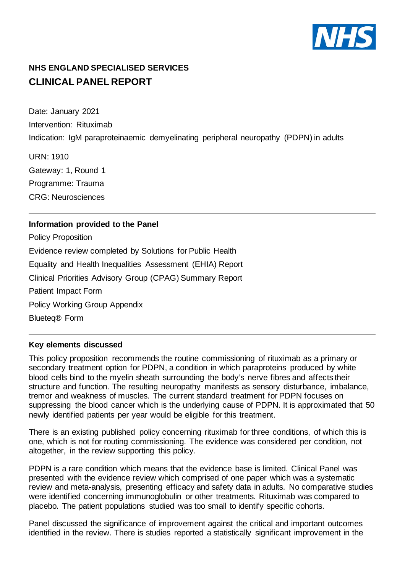

# **NHS ENGLAND SPECIALISED SERVICES CLINICAL PANEL REPORT**

Date: January 2021 Intervention: Rituximab Indication: IgM paraproteinaemic demyelinating peripheral neuropathy (PDPN) in adults

URN: 1910 Gateway: 1, Round 1 Programme: Trauma CRG: Neurosciences

## **Information provided to the Panel**

Policy Proposition Evidence review completed by Solutions for Public Health Equality and Health Inequalities Assessment (EHIA) Report Clinical Priorities Advisory Group (CPAG) Summary Report Patient Impact Form Policy Working Group Appendix Blueteq® Form

### **Key elements discussed**

This policy proposition recommends the routine commissioning of rituximab as a primary or secondary treatment option for PDPN, a condition in which paraproteins produced by white blood cells bind to the myelin sheath surrounding the body's nerve fibres and affects their structure and function. The resulting neuropathy manifests as sensory disturbance, imbalance, tremor and weakness of muscles. The current standard treatment for PDPN focuses on suppressing the blood cancer which is the underlying cause of PDPN. It is approximated that 50 newly identified patients per year would be eligible for this treatment.

There is an existing published policy concerning rituximab for three conditions, of which this is one, which is not for routing commissioning. The evidence was considered per condition, not altogether, in the review supporting this policy.

PDPN is a rare condition which means that the evidence base is limited. Clinical Panel was presented with the evidence review which comprised of one paper which was a systematic review and meta-analysis, presenting efficacy and safety data in adults. No comparative studies were identified concerning immunoglobulin or other treatments. Rituximab was compared to placebo. The patient populations studied was too small to identify specific cohorts.

Panel discussed the significance of improvement against the critical and important outcomes identified in the review. There is studies reported a statistically significant improvement in the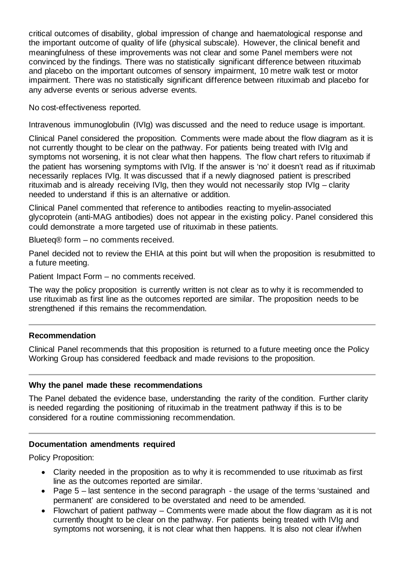critical outcomes of disability, global impression of change and haematological response and the important outcome of quality of life (physical subscale). However, the clinical benefit and meaningfulness of these improvements was not clear and some Panel members were not convinced by the findings. There was no statistically significant difference between rituximab and placebo on the important outcomes of sensory impairment, 10 metre walk test or motor impairment. There was no statistically significant difference between rituximab and placebo for any adverse events or serious adverse events.

No cost-effectiveness reported.

Intravenous immunoglobulin (IVIg) was discussed and the need to reduce usage is important.

Clinical Panel considered the proposition. Comments were made about the flow diagram as it is not currently thought to be clear on the pathway. For patients being treated with IVIg and symptoms not worsening, it is not clear what then happens. The flow chart refers to rituximab if the patient has worsening symptoms with IVIg. If the answer is 'no' it doesn't read as if rituximab necessarily replaces IVIg. It was discussed that if a newly diagnosed patient is prescribed rituximab and is already receiving IVIg, then they would not necessarily stop IVIg – clarity needed to understand if this is an alternative or addition.

Clinical Panel commented that reference to antibodies reacting to myelin-associated glycoprotein (anti-MAG antibodies) does not appear in the existing policy. Panel considered this could demonstrate a more targeted use of rituximab in these patients.

Blueteq® form – no comments received.

Panel decided not to review the EHIA at this point but will when the proposition is resubmitted to a future meeting.

Patient Impact Form – no comments received.

The way the policy proposition is currently written is not clear as to why it is recommended to use rituximab as first line as the outcomes reported are similar. The proposition needs to be strengthened if this remains the recommendation.

### **Recommendation**

Clinical Panel recommends that this proposition is returned to a future meeting once the Policy Working Group has considered feedback and made revisions to the proposition.

### **Why the panel made these recommendations**

The Panel debated the evidence base, understanding the rarity of the condition. Further clarity is needed regarding the positioning of rituximab in the treatment pathway if this is to be considered for a routine commissioning recommendation.

### **Documentation amendments required**

Policy Proposition:

- Clarity needed in the proposition as to why it is recommended to use rituximab as first line as the outcomes reported are similar.
- Page 5 last sentence in the second paragraph the usage of the terms 'sustained and permanent' are considered to be overstated and need to be amended.
- Flowchart of patient pathway Comments were made about the flow diagram as it is not currently thought to be clear on the pathway. For patients being treated with IVIg and symptoms not worsening, it is not clear what then happens. It is also not clear if/when